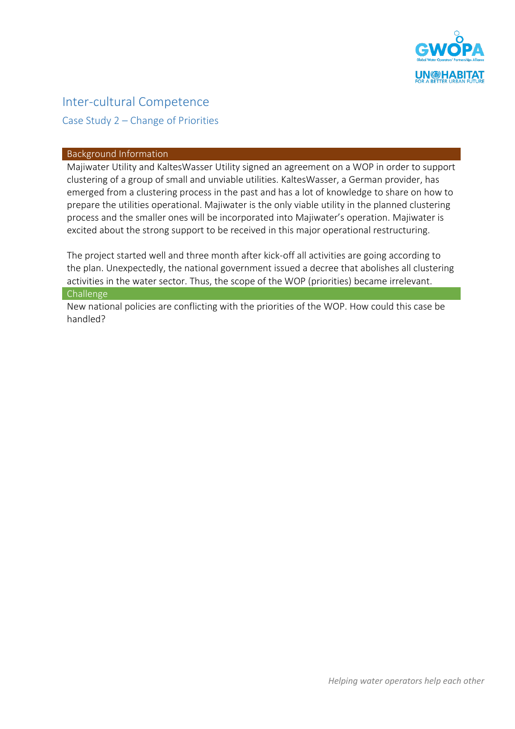

# Inter-cultural Competence

Case Study 2 – Change of Priorities

### Background Information

Majiwater Utility and KaltesWasser Utility signed an agreement on a WOP in order to support clustering of a group of small and unviable utilities. KaltesWasser, a German provider, has emerged from a clustering process in the past and has a lot of knowledge to share on how to prepare the utilities operational. Majiwater is the only viable utility in the planned clustering process and the smaller ones will be incorporated into Majiwater's operation. Majiwater is excited about the strong support to be received in this major operational restructuring.

The project started well and three month after kick-off all activities are going according to the plan. Unexpectedly, the national government issued a decree that abolishes all clustering activities in the water sector. Thus, the scope of the WOP (priorities) became irrelevant.

#### Challenge

New national policies are conflicting with the priorities of the WOP. How could this case be handled?